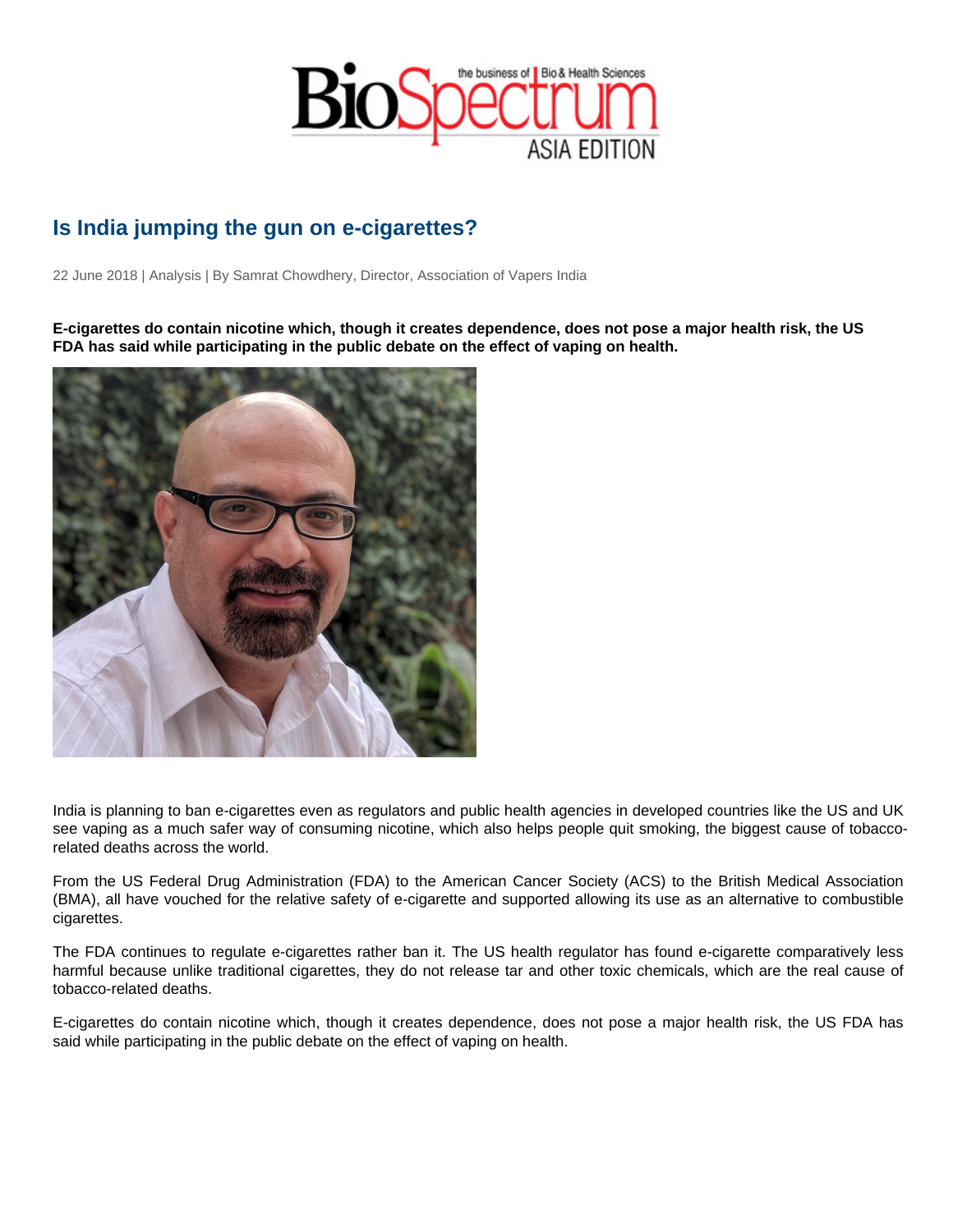## Is India jumping the gun on e-cigarettes?

22 June 2018 | Analysis | By Samrat Chowdhery, Director, Association of Vapers India

E-cigarettes do contain nicotine which, though it creates dependence, does not pose a major health risk, the US FDA has said while participating in the public debate on the effect of vaping on health.

India is planning to ban e-cigarettes even as regulators and public health agencies in developed countries like the US and UK see vaping as a much safer way of consuming nicotine, which also helps people quit smoking, the biggest cause of tobaccorelated deaths across the world.

From the US Federal Drug Administration (FDA) to the American Cancer Society (ACS) to the British Medical Association (BMA), all have vouched for the relative safety of e-cigarette and supported allowing its use as an alternative to combustible cigarettes.

The FDA continues to regulate e-cigarettes rather ban it. The US health regulator has found e-cigarette comparatively less harmful because unlike traditional cigarettes, they do not release tar and other toxic chemicals, which are the real cause of tobacco-related deaths.

E-cigarettes do contain nicotine which, though it creates dependence, does not pose a major health risk, the US FDA has said while participating in the public debate on the effect of vaping on health.